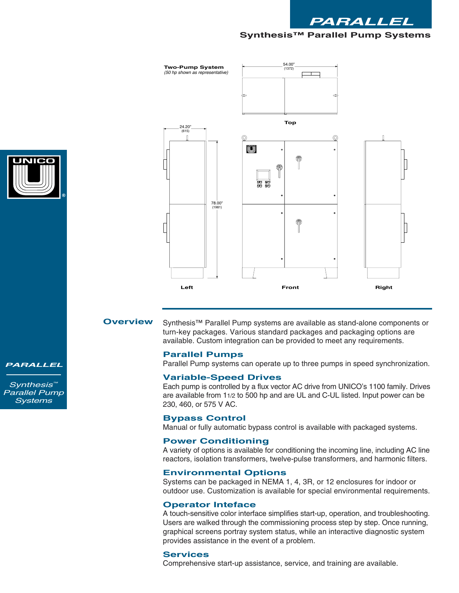





Synthesis™ Parallel Pump systems are available as stand-alone components or turn-key packages. Various standard packages and packaging options are available. Custom integration can be provided to meet any requirements.

## **Parallel Pumps**

Parallel Pump systems can operate up to three pumps in speed synchronization.

#### **Variable-Speed Drives**

Each pump is controlled by a flux vector AC drive from UNICO's 1100 family. Drives are available from 11/2 to 500 hp and are UL and C-UL listed. Input power can be 230, 460, or 575 V AC.

#### **Bypass Control**

Manual or fully automatic bypass control is available with packaged systems.

# **Power Conditioning**

A variety of options is available for conditioning the incoming line, including AC line reactors, isolation transformers, twelve-pulse transformers, and harmonic filters.

### **Environmental Options**

Systems can be packaged in NEMA 1, 4, 3R, or 12 enclosures for indoor or outdoor use. Customization is available for special environmental requirements.

#### **Operator Inteface**

A touch-sensitive color interface simplifies start-up, operation, and troubleshooting. Users are walked through the commissioning process step by step. Once running, graphical screens portray system status, while an interactive diagnostic system provides assistance in the event of a problem.

# **Services**

Comprehensive start-up assistance, service, and training are available.

*PARALLEL*

*Synthesis™ Parallel Pump Systems*